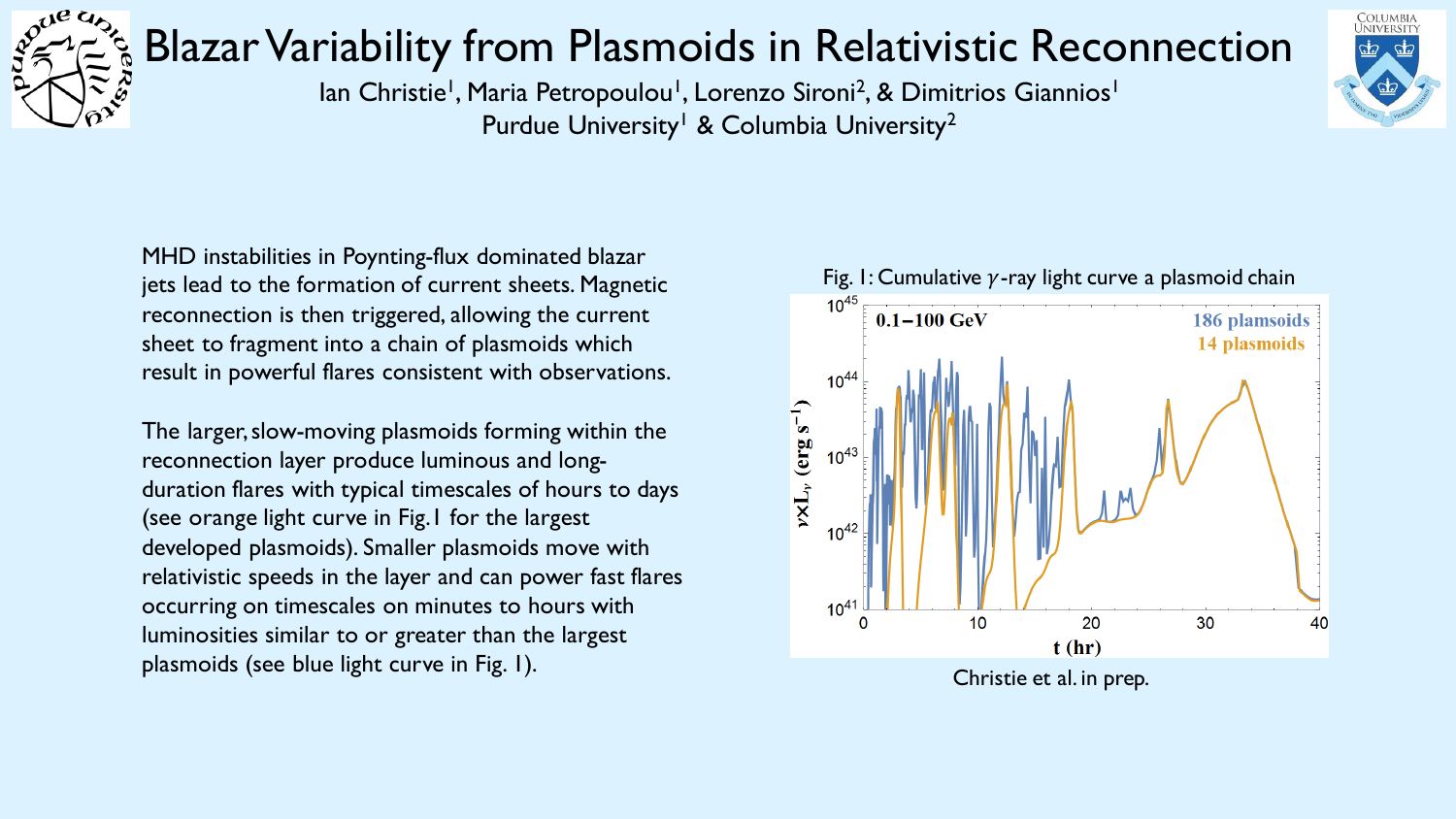

## Blazar Variability from Plasmoids in Relativistic Reconnection



lan Christie<sup>1</sup>, Maria Petropoulou<sup>1</sup>, Lorenzo Sironi<sup>2</sup>, & Dimitrios Giannios<sup>1</sup> Purdue University<sup>1</sup> & Columbia University<sup>2</sup>

MHD instabilities in Poynting-flux dominated blazar jets lead to the formation of current sheets. Magnetic reconnection is then triggered, allowing the current sheet to fragment into a chain of plasmoids which result in powerful flares consistent with observations.

The larger, slow-moving plasmoids forming within the reconnection layer produce luminous and longduration flares with typical timescales of hours to days (see orange light curve in Fig.1 for the largest developed plasmoids). Smaller plasmoids move with relativistic speeds in the layer and can power fast flares occurring on timescales on minutes to hours with luminosities similar to or greater than the largest plasmoids (see blue light curve in Fig. 1). The contract of the contract of the plasmoids (see blue light curve in Fig. 1).

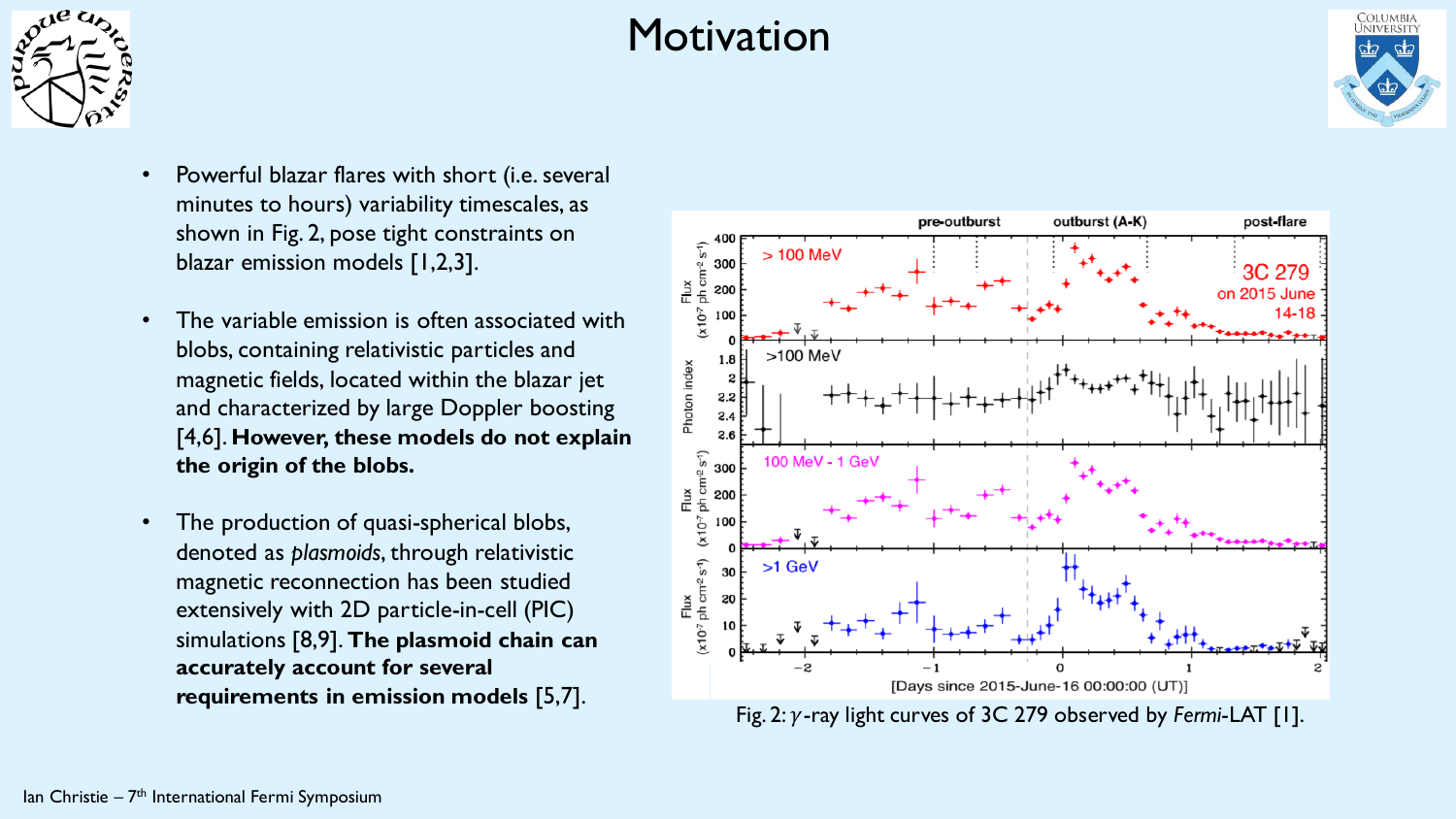

## **Motivation**



- Powerful blazar flares with short (i.e. several minutes to hours) variability timescales, as shown in Fig. 2, pose tight constraints on blazar emission models [1,2,3].
- The variable emission is often associated with blobs, containing relativistic particles and magnetic fields, located within the blazar jet and characterized by large Doppler boosting [4,6]. **However, these models do not explain the origin of the blobs.**
- The production of quasi-spherical blobs, denoted as *plasmoids*, through relativistic magnetic reconnection has been studied extensively with 2D particle-in-cell (PIC) simulations [8,9]. **The plasmoid chain can accurately account for several requirements in emission models** [5,7].



Fig. 2:  $\gamma$ -ray light curves of 3C 279 observed by *Fermi*-LAT [1].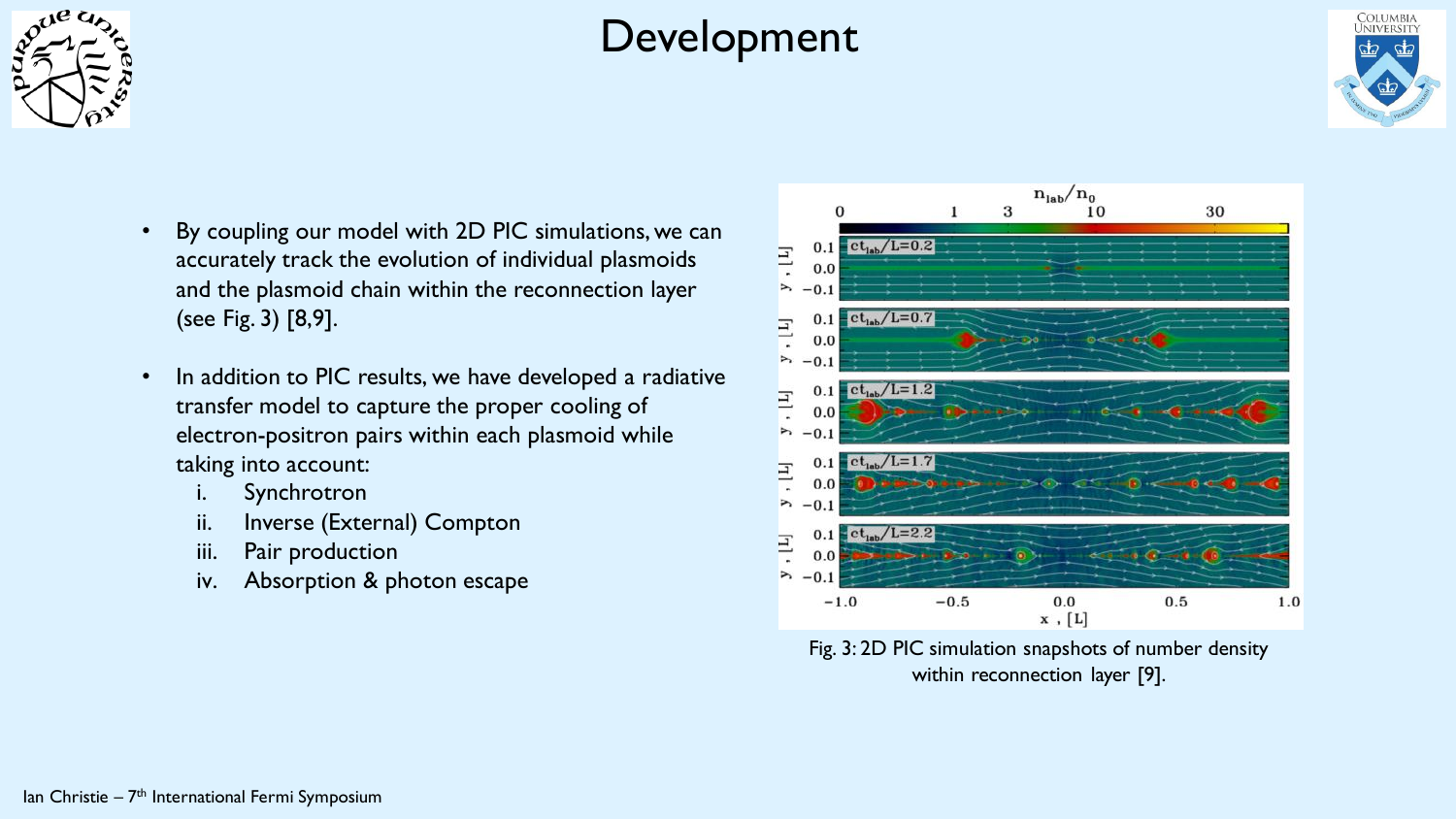

## Development



- By coupling our model with 2D PIC simulations, we can accurately track the evolution of individual plasmoids and the plasmoid chain within the reconnection layer (see Fig. 3) [8,9].
- In addition to PIC results, we have developed a radiative transfer model to capture the proper cooling of electron-positron pairs within each plasmoid while taking into account:
	- Synchrotron
	- ii. Inverse (External) Compton
	- iii. Pair production
	- iv. Absorption & photon escape



Fig. 3: 2D PIC simulation snapshots of number density within reconnection layer [9].